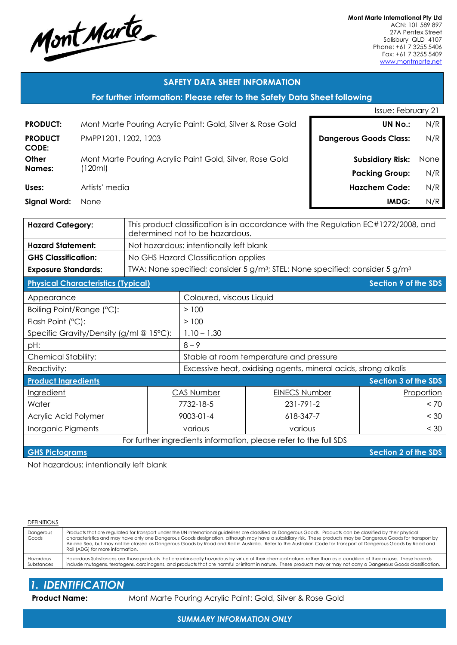

**Mont Marte International Pty Ltd** ACN: 101 589 897 27A Pentex Street Salisbury QLD 4107 Phone: +61 7 3255 5406 Fax: +61 7 3255 5409 [www.montmarte.net](http://www.montmarte.net/) 

## **SAFETY DATA SHEET INFORMATION**

#### **For further information: Please refer to the Safety Data Sheet following**

|                         |                                                            | <b>Issue: February 21</b>     |      |  |
|-------------------------|------------------------------------------------------------|-------------------------------|------|--|
| <b>PRODUCT:</b>         | Mont Marte Pouring Acrylic Paint: Gold, Silver & Rose Gold | <b>UN No.:</b>                | N/R  |  |
| <b>PRODUCT</b><br>CODE: | PMPP1201, 1202, 1203                                       | <b>Dangerous Goods Class:</b> | N/R  |  |
| Other                   | Mont Marte Pouring Acrylic Paint Gold, Silver, Rose Gold   | <b>Subsidiary Risk:</b>       | None |  |
| <b>Names:</b>           | 120ml)                                                     | <b>Packing Group:</b>         | N/R  |  |
| Uses:                   | Artists' media                                             | <b>Hazchem Code:</b>          | N/R  |  |
| <b>Signal Word:</b>     | None                                                       | IMDG:                         | N/R  |  |

| <b>Hazard Category:</b>                                           | This product classification is in accordance with the Regulation EC#1272/2008, and<br>determined not to be hazardous. |                                                                 |                                                                                                      |                             |  |
|-------------------------------------------------------------------|-----------------------------------------------------------------------------------------------------------------------|-----------------------------------------------------------------|------------------------------------------------------------------------------------------------------|-----------------------------|--|
| <b>Hazard Statement:</b>                                          | Not hazardous: intentionally left blank                                                                               |                                                                 |                                                                                                      |                             |  |
| <b>GHS Classification:</b>                                        |                                                                                                                       | No GHS Hazard Classification applies                            |                                                                                                      |                             |  |
| <b>Exposure Standards:</b>                                        |                                                                                                                       |                                                                 | TWA: None specified; consider 5 g/m <sup>3</sup> ; STEL: None specified; consider 5 g/m <sup>3</sup> |                             |  |
| <b>Physical Characteristics (Typical)</b>                         |                                                                                                                       |                                                                 |                                                                                                      | <b>Section 9 of the SDS</b> |  |
| Appearance                                                        |                                                                                                                       | Coloured, viscous Liquid                                        |                                                                                                      |                             |  |
| Boiling Point/Range (°C):                                         |                                                                                                                       | > 100                                                           |                                                                                                      |                             |  |
| Flash Point (°C):                                                 |                                                                                                                       | >100                                                            |                                                                                                      |                             |  |
| Specific Gravity/Density (g/ml @ 15°C):                           |                                                                                                                       | $1.10 - 1.30$                                                   |                                                                                                      |                             |  |
| pH:                                                               |                                                                                                                       | $8 - 9$                                                         |                                                                                                      |                             |  |
| <b>Chemical Stability:</b>                                        |                                                                                                                       | Stable at room temperature and pressure                         |                                                                                                      |                             |  |
| Reactivity:                                                       |                                                                                                                       | Excessive heat, oxidising agents, mineral acids, strong alkalis |                                                                                                      |                             |  |
| <b>Product Ingredients</b>                                        |                                                                                                                       |                                                                 |                                                                                                      | Section 3 of the SDS        |  |
| Ingredient                                                        |                                                                                                                       | <b>CAS Number</b>                                               | <b>EINECS Number</b>                                                                                 | Proportion                  |  |
| Water                                                             |                                                                                                                       | 7732-18-5                                                       | 231-791-2                                                                                            | < 70                        |  |
| Acrylic Acid Polymer                                              | 9003-01-4                                                                                                             |                                                                 | 618-347-7                                                                                            | < 30                        |  |
| Inorganic Pigments                                                |                                                                                                                       | various<br>various                                              |                                                                                                      | < 30                        |  |
| For further ingredients information, please refer to the full SDS |                                                                                                                       |                                                                 |                                                                                                      |                             |  |

**GHS Pictograms Section 2 of the SDS** 

Not hazardous: intentionally left blank

#### **DEFINITIONS**

| Dangerous<br>Goods | Products that are regulated for transport under the UN International guidelines are classified as Dangerous Goods. Products can be classified by their physical<br>characteristics and may have only one Dangerous Goods designation, although may have a subsidiary risk. These products may be Dangerous Goods for transport by<br>Air and Sea, but may not be classed as Dangerous Goods by Road and Rail in Australia. Refer to the Australian Code for Transport of Dangerous Goods by Road and<br>Rail (ADG) for more information. |
|--------------------|------------------------------------------------------------------------------------------------------------------------------------------------------------------------------------------------------------------------------------------------------------------------------------------------------------------------------------------------------------------------------------------------------------------------------------------------------------------------------------------------------------------------------------------|
| Hazardous          | Hazardous Substances are those products that are intrinsically hazardous by virtue of their chemical nature, rather than as a condition of their misuse. These hazards                                                                                                                                                                                                                                                                                                                                                                   |
| Substances         | include mutagens, teratogens, carcinogens, and products that are harmful or irritant in nature. These products may or may not carry a Dangerous Goods classification.                                                                                                                                                                                                                                                                                                                                                                    |

# *1. IDENTIFICATION*

**Product Name:** Mont Marte Pouring Acrylic Paint: Gold, Silver & Rose Gold

*SUMMARY INFORMATION ONLY*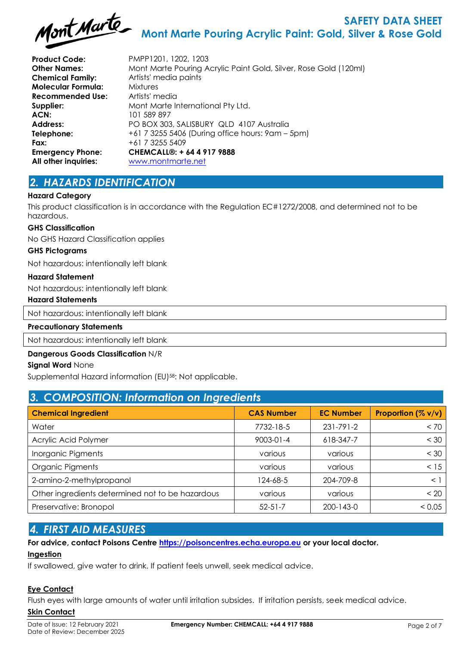

**Product Code:** PMPP1201, 1202, 1203 **Chemical Family:** Artists' media paints **Molecular Formula:** Mixtures **Recommended Use:** Artists' media **ACN:** 101 589 897 **Fax:**  $+61732555409$ **All other inquiries:** [www.montmarte.net](http://www.montmarte.net/)

**Other Names:** Mont Marte Pouring Acrylic Paint Gold, Silver, Rose Gold (120ml) **Supplier:** Mont Marte International Pty Ltd. **Address:** PO BOX 303, SALISBURY QLD 4107 Australia **Telephone:** +61 7 3255 5406 (During office hours: 9am – 5pm) **Emergency Phone: CHEMCALL®: + 64 4 917 9888**

## *2. HAZARDS IDENTIFICATION*

#### **Hazard Category**

This product classification is in accordance with the Regulation EC#1272/2008, and determined not to be hazardous.

#### **GHS Classification**

No GHS Hazard Classification applies

#### **GHS Pictograms**

Not hazardous: intentionally left blank

#### **Hazard Statement**

Not hazardous: intentionally left blank

#### **Hazard Statements**

Not hazardous: intentionally left blank

#### **Precautionary Statements**

Not hazardous: intentionally left blank

#### **Dangerous Goods Classification** N/R

#### **Signal Word** None

Supplemental Hazard information (EU)<sup>58</sup>: Not applicable.

## *3. COMPOSITION: Information on Ingredients*

| <b>Chemical Ingredient</b>                       | <b>CAS Number</b> | <b>EC Number</b> | Proportion $(\% v/v)$ |  |  |
|--------------------------------------------------|-------------------|------------------|-----------------------|--|--|
| Water                                            | 7732-18-5         | 231-791-2        | < 70                  |  |  |
| Acrylic Acid Polymer                             | 9003-01-4         | 618-347-7        | < 30                  |  |  |
| Inorganic Pigments                               | various           | various          | < 30                  |  |  |
| <b>Organic Pigments</b>                          | various           | various          | < 15                  |  |  |
| 2-amino-2-methylpropanol                         | 124-68-5          | 204-709-8        | < 1                   |  |  |
| Other ingredients determined not to be hazardous | various           | various          | < 20                  |  |  |
| Preservative: Bronopol                           | $52 - 51 - 7$     | 200-143-0        | < 0.05                |  |  |

## *4. FIRST AID MEASURES*

# **For advice, contact Poisons Centre [https://poisoncentres.echa.europa.eu](https://poisoncentres.echa.europa.eu/) or your local doctor.**

## **Ingestion**

If swallowed, give water to drink. If patient feels unwell, seek medical advice.

## **Eye Contact**

Flush eyes with large amounts of water until irritation subsides. If irritation persists, seek medical advice.

#### **Skin Contact**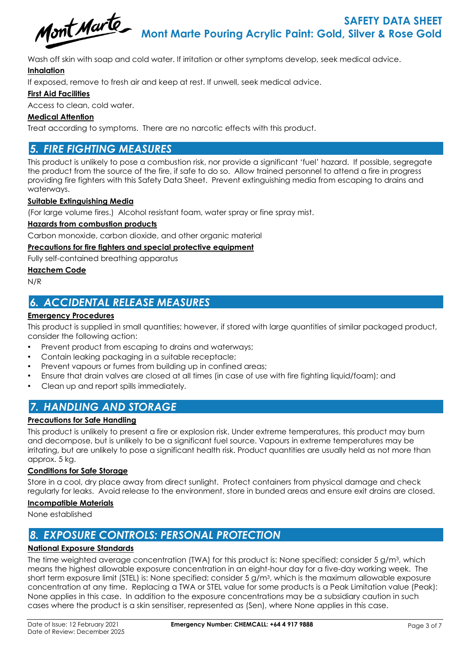

Wash off skin with soap and cold water. If irritation or other symptoms develop, seek medical advice.

## **Inhalation**

If exposed, remove to fresh air and keep at rest. If unwell, seek medical advice.

## **First Aid Facilities**

Access to clean, cold water.

## **Medical Attention**

Treat according to symptoms. There are no narcotic effects with this product.

## *5. FIRE FIGHTING MEASURES*

This product is unlikely to pose a combustion risk, nor provide a significant 'fuel' hazard. If possible, segregate the product from the source of the fire, if safe to do so. Allow trained personnel to attend a fire in progress providing fire fighters with this Safety Data Sheet. Prevent extinguishing media from escaping to drains and waterways.

## **Suitable Extinguishing Media**

(For large volume fires.) Alcohol resistant foam, water spray or fine spray mist.

### **Hazards from combustion products**

Carbon monoxide, carbon dioxide, and other organic material

## **Precautions for fire fighters and special protective equipment**

Fully self-contained breathing apparatus

#### **Hazchem Code**

N/R

## *6. ACCIDENTAL RELEASE MEASURES*

#### **Emergency Procedures**

This product is supplied in small quantities; however, if stored with large quantities of similar packaged product, consider the following action:

- Prevent product from escaping to drains and waterways;
- Contain leaking packaging in a suitable receptacle;
- Prevent vapours or fumes from building up in confined areas;
- Ensure that drain valves are closed at all times (in case of use with fire fighting liquid/foam); and
- Clean up and report spills immediately.

## *7. HANDLING AND STORAGE*

## **Precautions for Safe Handling**

This product is unlikely to present a fire or explosion risk. Under extreme temperatures, this product may burn and decompose, but is unlikely to be a significant fuel source. Vapours in extreme temperatures may be irritating, but are unlikely to pose a significant health risk. Product quantities are usually held as not more than approx. 5 kg.

## **Conditions for Safe Storage**

Store in a cool, dry place away from direct sunlight. Protect containers from physical damage and check regularly for leaks. Avoid release to the environment, store in bunded areas and ensure exit drains are closed.

#### **Incompatible Materials**

None established

## *8. EXPOSURE CONTROLS: PERSONAL PROTECTION*

## **National Exposure Standards**

The time weighted average concentration (TWA) for this product is: None specified; consider 5 g/m3, which means the highest allowable exposure concentration in an eight-hour day for a five-day working week. The short term exposure limit (STEL) is: None specified; consider 5 g/m3, which is the maximum allowable exposure concentration at any time. Replacing a TWA or STEL value for some products is a Peak Limitation value (Peak): None applies in this case. In addition to the exposure concentrations may be a subsidiary caution in such cases where the product is a skin sensitiser, represented as (Sen), where None applies in this case.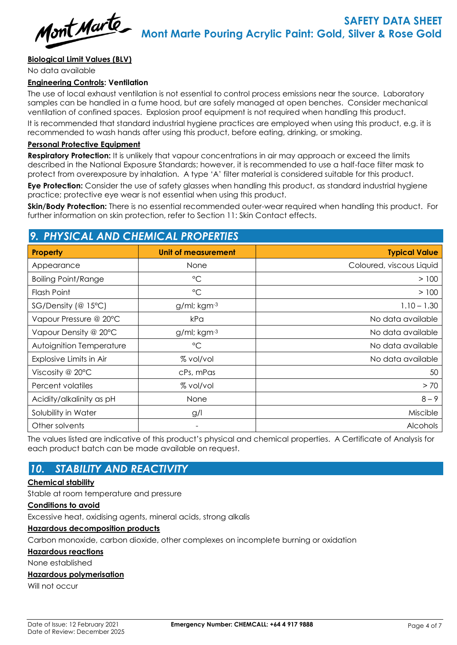

## **Biological Limit Values (BLV)**

No data available

## **Engineering Controls: Ventilation**

The use of local exhaust ventilation is not essential to control process emissions near the source. Laboratory samples can be handled in a fume hood, but are safely managed at open benches. Consider mechanical ventilation of confined spaces. Explosion proof equipment is not required when handling this product.

It is recommended that standard industrial hygiene practices are employed when using this product, e.g. it is recommended to wash hands after using this product, before eating, drinking, or smoking.

#### **Personal Protective Equipment**

**Respiratory Protection:** It is unlikely that vapour concentrations in air may approach or exceed the limits described in the National Exposure Standards; however, it is recommended to use a half-face filter mask to protect from overexposure by inhalation. A type 'A' filter material is considered suitable for this product.

**Eye Protection:** Consider the use of safety glasses when handling this product, as standard industrial hygiene practice; protective eye wear is not essential when using this product.

**Skin/Body Protection:** There is no essential recommended outer-wear required when handling this product. For further information on skin protection, refer to Section 11: Skin Contact effects.

## *9. PHYSICAL AND CHEMICAL PROPERTIES*

| <b>Property</b>            | Unit of measurement | <b>Typical Value</b>     |
|----------------------------|---------------------|--------------------------|
| Appearance                 | None                | Coloured, viscous Liquid |
| <b>Boiling Point/Range</b> | $^{\circ}$ C        | > 100                    |
| Flash Point                | $^{\circ}$ C        | > 100                    |
| SG/Density (@ 15°C)        | g/ml; kgm-3         | $1.10 - 1.30$            |
| Vapour Pressure @ 20°C     | kPa                 | No data available        |
| Vapour Density @ 20°C      | g/ml; kgm-3         | No data available        |
| Autoignition Temperature   | $\rm ^{\circ}C$     | No data available        |
| Explosive Limits in Air    | % vol/vol           | No data available        |
| Viscosity @ 20°C           | cPs, mPas           | 50                       |
| Percent volatiles          | % vol/vol           | > 70                     |
| Acidity/alkalinity as pH   | None                | $8 - 9$                  |
| Solubility in Water        | g/l                 | Miscible                 |
| Other solvents             | -                   | <b>Alcohols</b>          |

The values listed are indicative of this product's physical and chemical properties. A Certificate of Analysis for each product batch can be made available on request.

## *10. STABILITY AND REACTIVITY*

#### **Chemical stability**

Stable at room temperature and pressure

#### **Conditions to avoid**

Excessive heat, oxidising agents, mineral acids, strong alkalis

### **Hazardous decomposition products**

Carbon monoxide, carbon dioxide, other complexes on incomplete burning or oxidation

#### **Hazardous reactions**

None established

#### **Hazardous polymerisation**

Will not occur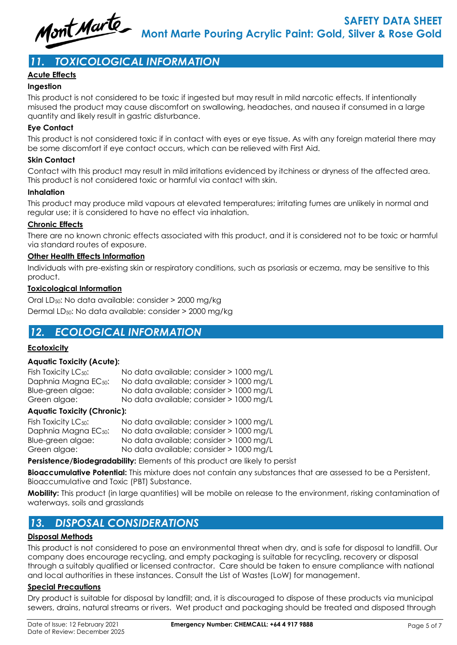

# *11. TOXICOLOGICAL INFORMATION*

## **Acute Effects**

## **Ingestion**

This product is not considered to be toxic if ingested but may result in mild narcotic effects. If intentionally misused the product may cause discomfort on swallowing, headaches, and nausea if consumed in a large quantity and likely result in gastric disturbance.

#### **Eye Contact**

This product is not considered toxic if in contact with eyes or eye tissue. As with any foreign material there may be some discomfort if eye contact occurs, which can be relieved with First Aid.

#### **Skin Contact**

Contact with this product may result in mild irritations evidenced by itchiness or dryness of the affected area. This product is not considered toxic or harmful via contact with skin.

#### **Inhalation**

This product may produce mild vapours at elevated temperatures; irritating fumes are unlikely in normal and regular use; it is considered to have no effect via inhalation.

#### **Chronic Effects**

There are no known chronic effects associated with this product, and it is considered not to be toxic or harmful via standard routes of exposure.

#### **Other Health Effects Information**

Individuals with pre-existing skin or respiratory conditions, such as psoriasis or eczema, may be sensitive to this product.

#### **Toxicological Information**

Oral LD50: No data available: consider > 2000 mg/kg Dermal LD50: No data available: consider > 2000 mg/kg

## *12. ECOLOGICAL INFORMATION*

## **Ecotoxicity**

## **Aquatic Toxicity (Acute):**

| Fish Toxicity LC <sub>50</sub> : | No data available; consider > 1000 mg/L |
|----------------------------------|-----------------------------------------|
| Daphnia Magna EC <sub>50</sub> : | No data available; consider > 1000 mg/L |
| Blue-green algae:                | No data available; consider > 1000 mg/L |
| Green algae:                     | No data available; consider > 1000 mg/L |

#### **Aquatic Toxicity (Chronic):**

| Fish Toxicity $LC_{50}$ :        | No data available; consider > 1000 mg/L |  |
|----------------------------------|-----------------------------------------|--|
| Daphnia Magna EC <sub>50</sub> : | No data available; consider > 1000 mg/L |  |
| Blue-green algae:                | No data available; consider > 1000 mg/L |  |
| Green algae:                     | No data available; consider > 1000 mg/L |  |

**Persistence/Biodegradability:** Elements of this product are likely to persist

**Bioaccumulative Potential:** This mixture does not contain any substances that are assessed to be a Persistent, Bioaccumulative and Toxic (PBT) Substance.

**Mobility:** This product (in large quantities) will be mobile on release to the environment, risking contamination of waterways, soils and grasslands

## *13. DISPOSAL CONSIDERATIONS*

## **Disposal Methods**

This product is not considered to pose an environmental threat when dry, and is safe for disposal to landfill. Our company does encourage recycling, and empty packaging is suitable for recycling, recovery or disposal through a suitably qualified or licensed contractor. Care should be taken to ensure compliance with national and local authorities in these instances. Consult the List of Wastes (LoW) for management.

#### **Special Precautions**

Dry product is suitable for disposal by landfill; and, it is discouraged to dispose of these products via municipal sewers, drains, natural streams or rivers. Wet product and packaging should be treated and disposed through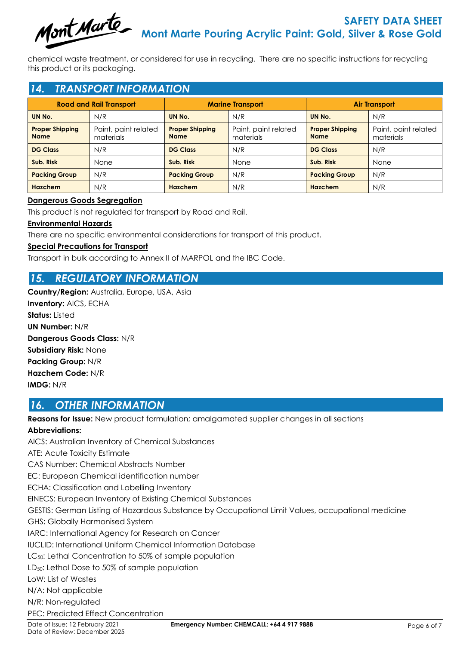

chemical waste treatment, or considered for use in recycling. There are no specific instructions for recycling this product or its packaging.

## *14. TRANSPORT INFORMATION*

| <b>Road and Rail Transport</b>        |                                   | <b>Marine Transport</b>               |                                   | <b>Air Transport</b>                  |                                   |
|---------------------------------------|-----------------------------------|---------------------------------------|-----------------------------------|---------------------------------------|-----------------------------------|
| UN No.                                | N/R                               | UN No.                                | N/R                               | UN No.                                | N/R                               |
| <b>Proper Shipping</b><br><b>Name</b> | Paint, paint related<br>materials | <b>Proper Shipping</b><br><b>Name</b> | Paint, paint related<br>materials | <b>Proper Shipping</b><br><b>Name</b> | Paint, paint related<br>materials |
| <b>DG Class</b>                       | N/R                               | <b>DG Class</b>                       | N/R                               | <b>DG Class</b>                       | N/R                               |
| Sub. Risk                             | None                              | Sub. Risk                             | <b>None</b>                       | Sub. Risk                             | <b>None</b>                       |
| <b>Packing Group</b>                  | N/R                               | <b>Packing Group</b>                  | N/R                               | <b>Packing Group</b>                  | N/R                               |
| <b>Hazchem</b>                        | N/R                               | <b>Hazchem</b>                        | N/R                               | Hazchem                               | N/R                               |

## **Dangerous Goods Segregation**

This product is not regulated for transport by Road and Rail.

## **Environmental Hazards**

There are no specific environmental considerations for transport of this product.

## **Special Precautions for Transport**

Transport in bulk according to Annex II of MARPOL and the IBC Code.

## *15. REGULATORY INFORMATION*

**Country/Region:** Australia, Europe, USA, Asia **Inventory:** AICS, ECHA **Status:** Listed **UN Number:** N/R **Dangerous Goods Class:** N/R **Subsidiary Risk:** None **Packing Group:** N/R **Hazchem Code:** N/R **IMDG:** N/R

## *16. OTHER INFORMATION*

**Reasons for Issue:** New product formulation; amalgamated supplier changes in all sections

## **Abbreviations:**

AICS: Australian Inventory of Chemical Substances ATE: Acute Toxicity Estimate CAS Number: Chemical Abstracts Number EC: European Chemical identification number ECHA: Classification and Labelling Inventory EINECS: European Inventory of Existing Chemical Substances GESTIS: German Listing of Hazardous Substance by Occupational Limit Values, occupational medicine GHS: Globally Harmonised System IARC: International Agency for Research on Cancer IUCLID: International Uniform Chemical Information Database LC<sub>50</sub>: Lethal Concentration to 50% of sample population LD50: Lethal Dose to 50% of sample population LoW: List of Wastes N/A: Not applicable N/R: Non-regulated PEC: Predicted Effect Concentration